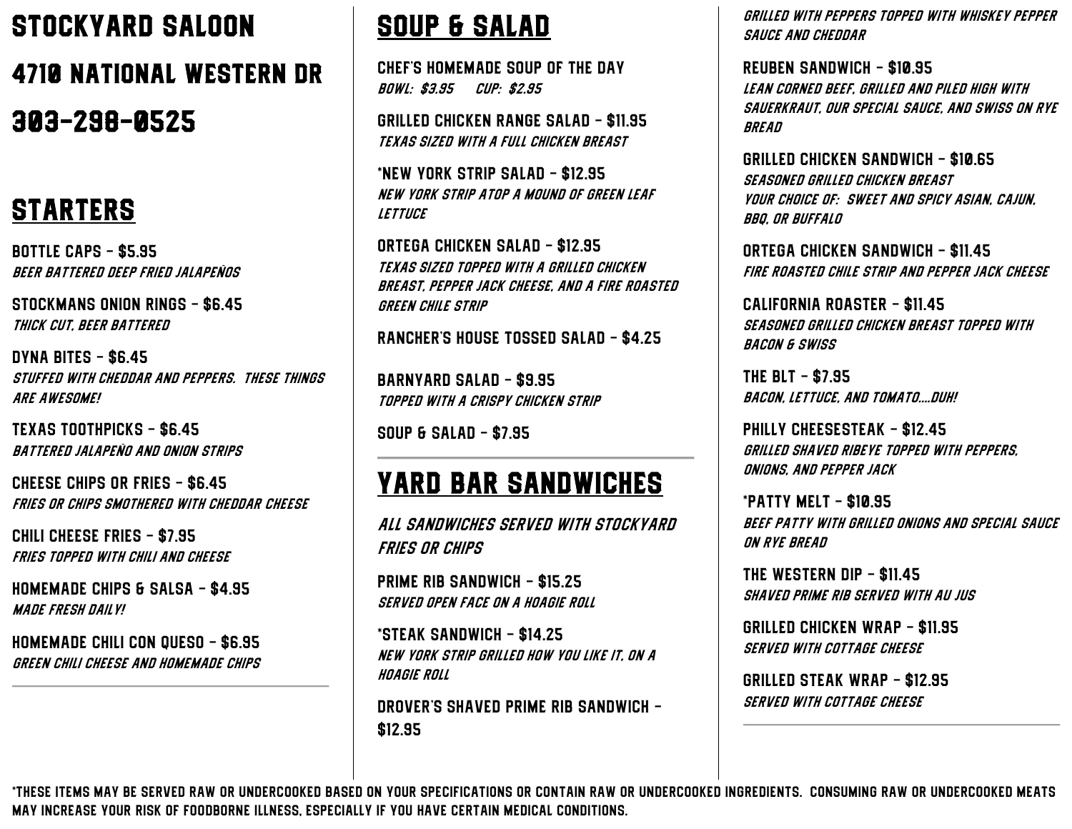# Stockyard Saloon 4710 National Western Dr 303-298-0525

#### **STARTERS**

Bottle Caps - \$5.95 Beer battered deep fried jalapeños

Stockmans onion rings - \$6.45 Thick cut, beer battered

Dyna Bites - \$6.45 Stuffed with cheddar and peppers. These things are awesome!

Texas toothpicks - \$6.45 Battered jalapeño and onion strips

Cheese chips or fries - \$6.45 Fries or chips smothered with cheddar cheese

Chili cheese fries - \$7.95 Fries topped with chili and cheese

Homemade chips & salsa - \$4.95 Made fresh daily!

Homemade chili con queso - \$6.95 Green chili cheese and homemade chips

### Soup & salad

Chef's homemade soup of the day Bowl: \$3.95 Cup: \$2.95

Grilled chicken range salad - \$11.95 Texas sized with a full chicken breast

\*new York strip salad - \$12.95 New York strip atop a mound of green leaf **LETTUCE** 

Ortega chicken salad - \$12.95 Texas sized topped with a grilled chicken breast, pepper jack cheese, and a fire roasted green chile strip

Rancher's house tossed salad - \$4.25

Barnyard salad - \$9.95 Topped with a crispy chicken strip

Soup & salad - \$7.95

#### Yard bar sandwiches

All sandwiches served with stockyard fries or chips

Prime rib sandwich - \$15.25 Served open face on a hoagie roll

\*steak sandwich - \$14.25 New York strip grilled how you like it, on a hoagie roll

Drover's shaved prime rib sandwich - \$12.95

Grilled with peppers topped with whiskey pepper sauce and cheddar

Reuben sandwich - \$10.95 Lean corned beef, grilled and piled high with sauerkraut, our special sauce, and swiss on rye **BREAD** 

Grilled chicken sandwich - \$10.65 Seasoned grilled chicken breast Your choice of: sweet and spicy Asian, cajun, bbq, or buffalo

Ortega chicken sandwich - \$11.45 Fire roasted chile strip and pepper jack cheese

California roaster - \$11.45 Seasoned grilled chicken breast topped with bacon & swiss

The blt - \$7.95 Bacon, lettuce, and tomato….duh!

Philly cheesesteak - \$12.45 Grilled shaved ribeye topped with peppers, onions, and pepper jack

\*patty melt - \$10.95 Beef patty with grilled onions and special sauce on rye bread

The western dip - \$11.45 Shaved prime rib served with au jus

Grilled chicken wrap - \$11.95 Served with cottage cheese

Grilled steak wrap - \$12.95 SERVED WITH COTTAGE CHEESE

\*these items may be served raw or undercooked based on your specifications or contain raw or undercooked ingredients. Consuming raw or undercooked meats may increase your risk of foodborne illness, especially if you have certain medical conditions.